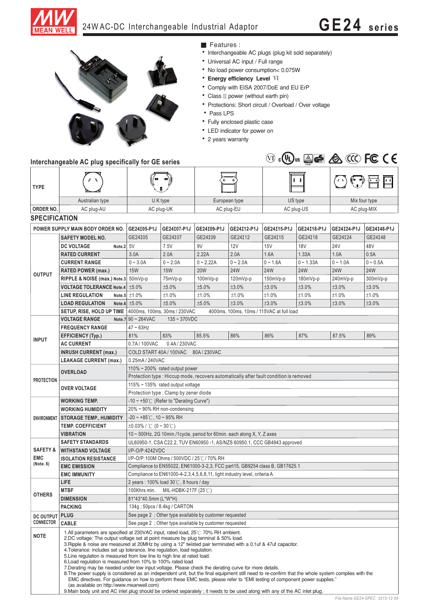

## 24W AC-DC Interchangeable Industrial Adaptor **GE24 series**



■ Features :

- Interchangeable AC plugs (plug kit sold separately)
- Universal AC input / Full range
- No load power consumption< 0.075W
- **Energy efficiency Level VI**
- Comply with EISA 2007/DoE and EU ErP
- Class II power (without earth pin)
- Protections: Short circuit / Overload / Over voltage
- Pass LPS
- Fully enclosed plastic case
- LED indicator for power on
- 2 years warranty

|                                  | Interchangeable AC plug specifically for GE series |                                                                                        |             | $(\mathsf{U}_\mathsf{L})$<br>(VI) | $\triangle$ G | <b>A</b> CCC FCC CE |             |               |             |  |
|----------------------------------|----------------------------------------------------|----------------------------------------------------------------------------------------|-------------|-----------------------------------|---------------|---------------------|-------------|---------------|-------------|--|
| <b>TYPE</b>                      |                                                    | o)<br>п                                                                                |             | $\circ$<br>◉                      |               | $\mathbf{I}$        |             |               |             |  |
|                                  | Australian type                                    | U.K type                                                                               |             | European type                     |               | US type             |             | Mix four type |             |  |
| <b>ORDER NO.</b>                 | AC plug-AU                                         | AC plug-UK                                                                             |             | AC plug-EU                        |               | AC plug-US          |             | AC plug-MIX   |             |  |
| <b>SPECIFICATION</b>             |                                                    |                                                                                        |             |                                   |               |                     |             |               |             |  |
| POWER SUPPLY MAIN BODY ORDER NO. |                                                    | GE24105-P1J                                                                            | GE24107-P1J | GE24109-P1J                       | GE24112-P1J   | GE24115-P1J         | GE24118-P1J | GE24124-P1J   | GE24148-P1J |  |
| <b>OUTPUT</b>                    | <b>SAFETY MODEL NO.</b>                            | GE24105                                                                                | GE24107     | GE24109                           | GE24112       | GE24I15             | GE24I18     | GE24124       | GE24148     |  |
|                                  | <b>DC VOLTAGE</b><br>Note $2 5V$                   |                                                                                        | 7.5V        | 9V                                | 12V           | 15V                 | <b>18V</b>  | <b>24V</b>    | 48V         |  |
|                                  | <b>RATED CURRENT</b>                               | 3.0A                                                                                   | 2.0A        | 2.22A                             | 2.0A          | 1.6A                | 1.33A       | 1.0A          | 0.5A        |  |
|                                  | <b>CURRENT RANGE</b>                               | $0 - 3.0A$                                                                             | $0 - 2.0A$  | $0 - 2.22A$                       | $0 - 2.0A$    | $0 - 1.6A$          | $0 - 1.33A$ | $0 - 1.0A$    | $0 - 0.5A$  |  |
|                                  | <b>RATED POWER (max.)</b>                          | <b>15W</b>                                                                             | <b>15W</b>  | 20W                               | 24W           | 24W                 | 24W         | 24W           | 24W         |  |
|                                  | RIPPLE & NOISE (max.) Note.3 50mVp-p               |                                                                                        | 75mVp-p     | $100mVp-p$                        | 120mVp-p      | 150mVp-p            | 180mVp-p    | 240mVp-p      | 300mVp-p    |  |
|                                  | <b>VOLTAGE TOLERANCE Note.4</b>                    | ±5.0%                                                                                  | ±5.0%       | ±5.0%                             | ±3.0%         | ±3.0%               | ±3.0%       | ±3.0%         | ±3.0%       |  |
|                                  | <b>LINE REGULATION</b>                             | Note.5 $\pm 1.0\%$                                                                     | ±1.0%       | ±1.0%                             | ±1.0%         | ±1.0%               | ±1.0%       | ±1.0%         | ±1.0%       |  |
|                                  | <b>LOAD REGULATION</b>                             | Note.6 $±5.0\%$                                                                        | ±5.0%       | ±5.0%                             | ±3.0%         | ±3.0%               | ±3.0%       | ±3.0%         | ±3.0%       |  |
|                                  | SETUP, RISE, HOLD UP TIME                          | 4000ms, 100ms, 30ms / 230VAC<br>4000ms, 100ms, 10ms / 115VAC at full load              |             |                                   |               |                     |             |               |             |  |
| <b>INPUT</b>                     | <b>VOLTAGE RANGE</b>                               | Note.7 $90 \sim 264$ VAC<br>$135 - 370$ VDC                                            |             |                                   |               |                     |             |               |             |  |
|                                  | <b>FREQUENCY RANGE</b>                             | $47 - 63$ Hz                                                                           |             |                                   |               |                     |             |               |             |  |
|                                  | <b>EFFICIENCY (Typ.)</b>                           | 81%                                                                                    | 83%         | 85.5%                             | 86%           | 86%                 | 87%         | 87.5%         | 89%         |  |
|                                  | <b>AC CURRENT</b>                                  | 0.7A/100VAC<br>0.4A/230VAC                                                             |             |                                   |               |                     |             |               |             |  |
|                                  | <b>INRUSH CURRENT (max.)</b>                       | COLD START 40A / 100VAC<br>80A/230VAC                                                  |             |                                   |               |                     |             |               |             |  |
|                                  | <b>LEAKAGE CURRENT (max.)</b>                      | 0.25mA / 240VAC                                                                        |             |                                   |               |                     |             |               |             |  |
| <b>PROTECTION</b>                | <b>OVERLOAD</b>                                    | 110% $\sim$ 200% rated output power                                                    |             |                                   |               |                     |             |               |             |  |
|                                  |                                                    | Protection type : Hiccup mode, recovers automatically after fault condition is removed |             |                                   |               |                     |             |               |             |  |
|                                  | <b>OVER VOLTAGE</b>                                | 115% ~ 135% rated output voltage                                                       |             |                                   |               |                     |             |               |             |  |
|                                  |                                                    |                                                                                        |             |                                   |               |                     |             |               |             |  |

| <b>PROTECTION</b>                              | <b>OVERLOAD</b>                                                                                                                                                                                                                                                                                                                                                                                                                                                                                                                                                                                                                                                                                                                                                                                                                                                                                                                                          | $110\%$ ~ 200% rated output power                                                      |  |  |  |  |  |
|------------------------------------------------|----------------------------------------------------------------------------------------------------------------------------------------------------------------------------------------------------------------------------------------------------------------------------------------------------------------------------------------------------------------------------------------------------------------------------------------------------------------------------------------------------------------------------------------------------------------------------------------------------------------------------------------------------------------------------------------------------------------------------------------------------------------------------------------------------------------------------------------------------------------------------------------------------------------------------------------------------------|----------------------------------------------------------------------------------------|--|--|--|--|--|
|                                                |                                                                                                                                                                                                                                                                                                                                                                                                                                                                                                                                                                                                                                                                                                                                                                                                                                                                                                                                                          | Protection type : Hiccup mode, recovers automatically after fault condition is removed |  |  |  |  |  |
|                                                | <b>OVER VOLTAGE</b>                                                                                                                                                                                                                                                                                                                                                                                                                                                                                                                                                                                                                                                                                                                                                                                                                                                                                                                                      | 115% ~ 135% rated output voltage                                                       |  |  |  |  |  |
|                                                |                                                                                                                                                                                                                                                                                                                                                                                                                                                                                                                                                                                                                                                                                                                                                                                                                                                                                                                                                          | Protection type: Clamp by zener diode                                                  |  |  |  |  |  |
|                                                | <b>WORKING TEMP.</b>                                                                                                                                                                                                                                                                                                                                                                                                                                                                                                                                                                                                                                                                                                                                                                                                                                                                                                                                     | $-10 \sim +50^{\circ}$ (Refer to "Derating Curve")                                     |  |  |  |  |  |
|                                                | <b>WORKING HUMIDITY</b>                                                                                                                                                                                                                                                                                                                                                                                                                                                                                                                                                                                                                                                                                                                                                                                                                                                                                                                                  | 20% ~ 90% RH non-condensing                                                            |  |  |  |  |  |
|                                                | <b>ENVIRONMENT STORAGE TEMP., HUMIDITY</b>                                                                                                                                                                                                                                                                                                                                                                                                                                                                                                                                                                                                                                                                                                                                                                                                                                                                                                               | $-20 \sim +85^{\circ}$ C, 10 ~ 95% RH                                                  |  |  |  |  |  |
|                                                | <b>TEMP. COEFFICIENT</b>                                                                                                                                                                                                                                                                                                                                                                                                                                                                                                                                                                                                                                                                                                                                                                                                                                                                                                                                 | $\pm 0.03\%$ / °C (0 ~ 30°C)                                                           |  |  |  |  |  |
|                                                | <b>VIBRATION</b>                                                                                                                                                                                                                                                                                                                                                                                                                                                                                                                                                                                                                                                                                                                                                                                                                                                                                                                                         | 10 ~ 500Hz, 2G 10min./1cycle, period for 60min. each along X, Y, Z axes                |  |  |  |  |  |
| <b>SAFETY &amp;</b><br><b>EMC</b><br>(Note. 8) | <b>SAFETY STANDARDS</b>                                                                                                                                                                                                                                                                                                                                                                                                                                                                                                                                                                                                                                                                                                                                                                                                                                                                                                                                  | UL60950-1, CSA C22.2, TUV EN60950 -1, AS/NZS 60950.1, CCC GB4943 approved              |  |  |  |  |  |
|                                                | <b>WITHSTAND VOLTAGE</b>                                                                                                                                                                                                                                                                                                                                                                                                                                                                                                                                                                                                                                                                                                                                                                                                                                                                                                                                 | I/P-O/P:4242VDC                                                                        |  |  |  |  |  |
|                                                | <b>ISOLATION RESISTANCE</b>                                                                                                                                                                                                                                                                                                                                                                                                                                                                                                                                                                                                                                                                                                                                                                                                                                                                                                                              | I/P-O/P:100M Ohms / 500VDC / 25°C / 70% RH                                             |  |  |  |  |  |
|                                                | <b>EMC EMISSION</b>                                                                                                                                                                                                                                                                                                                                                                                                                                                                                                                                                                                                                                                                                                                                                                                                                                                                                                                                      | Compliance to EN55022, EN61000-3-2,3, FCC part15, GB9254 class B, GB17625.1            |  |  |  |  |  |
|                                                | <b>EMC IMMUNITY</b>                                                                                                                                                                                                                                                                                                                                                                                                                                                                                                                                                                                                                                                                                                                                                                                                                                                                                                                                      | Compliance to EN61000-4-2, 3, 4, 5, 6, 8, 11, light industry level, criteria A         |  |  |  |  |  |
| <b>OTHERS</b>                                  | LIFE                                                                                                                                                                                                                                                                                                                                                                                                                                                                                                                                                                                                                                                                                                                                                                                                                                                                                                                                                     | 2 years: $100\%$ load $30\degree$ C, 8 hours / day                                     |  |  |  |  |  |
|                                                | <b>MTBF</b>                                                                                                                                                                                                                                                                                                                                                                                                                                                                                                                                                                                                                                                                                                                                                                                                                                                                                                                                              | 100Khrs min. MIL-HDBK-217F (25°C)                                                      |  |  |  |  |  |
|                                                | <b>DIMENSION</b>                                                                                                                                                                                                                                                                                                                                                                                                                                                                                                                                                                                                                                                                                                                                                                                                                                                                                                                                         | 81*43*40.5mm (L*W*H)                                                                   |  |  |  |  |  |
|                                                | <b>PACKING</b>                                                                                                                                                                                                                                                                                                                                                                                                                                                                                                                                                                                                                                                                                                                                                                                                                                                                                                                                           | 134g; 50pcs / 8.4kg / CARTON                                                           |  |  |  |  |  |
| <b>DC OUTPUT</b>                               | PLUG                                                                                                                                                                                                                                                                                                                                                                                                                                                                                                                                                                                                                                                                                                                                                                                                                                                                                                                                                     | See page 2 : Other type available by customer requested                                |  |  |  |  |  |
| <b>CONNECTOR</b>                               | CABLE                                                                                                                                                                                                                                                                                                                                                                                                                                                                                                                                                                                                                                                                                                                                                                                                                                                                                                                                                    | See page 2 : Other type available by customer requested                                |  |  |  |  |  |
| <b>NOTE</b>                                    | 1.All parameters are specified at 230VAC input, rated load, 25°C 70% RH ambient.<br>2.DC voltage: The output voltage set at point measure by plug terminal & 50% load.<br>3. Ripple & noise are measured at 20MHz by using a 12" twisted pair terminated with a 0.1uf & 47uf capacitor.<br>4. Tolerance: includes set up tolerance, line regulation, load regulation.<br>5. Line regulation is measured from low line to high line at rated load.<br>6. Load regulation is measured from 10% to 100% rated load<br>7. Derating may be needed under low input voltage. Please check the derating curve for more details.<br>8. The power supply is considered as an independent unit, but the final equipment still need to re-confirm that the whole system complies with the<br>EMC directives. For quidance on how to perform these EMC tests, please refer to "EMI testing of component power supplies."<br>(as available on http://www.meanwell.com) |                                                                                        |  |  |  |  |  |

9. Main body unit and AC inlet plug should be ordered separately; it needs to be used along with any of the AC inlet plug.